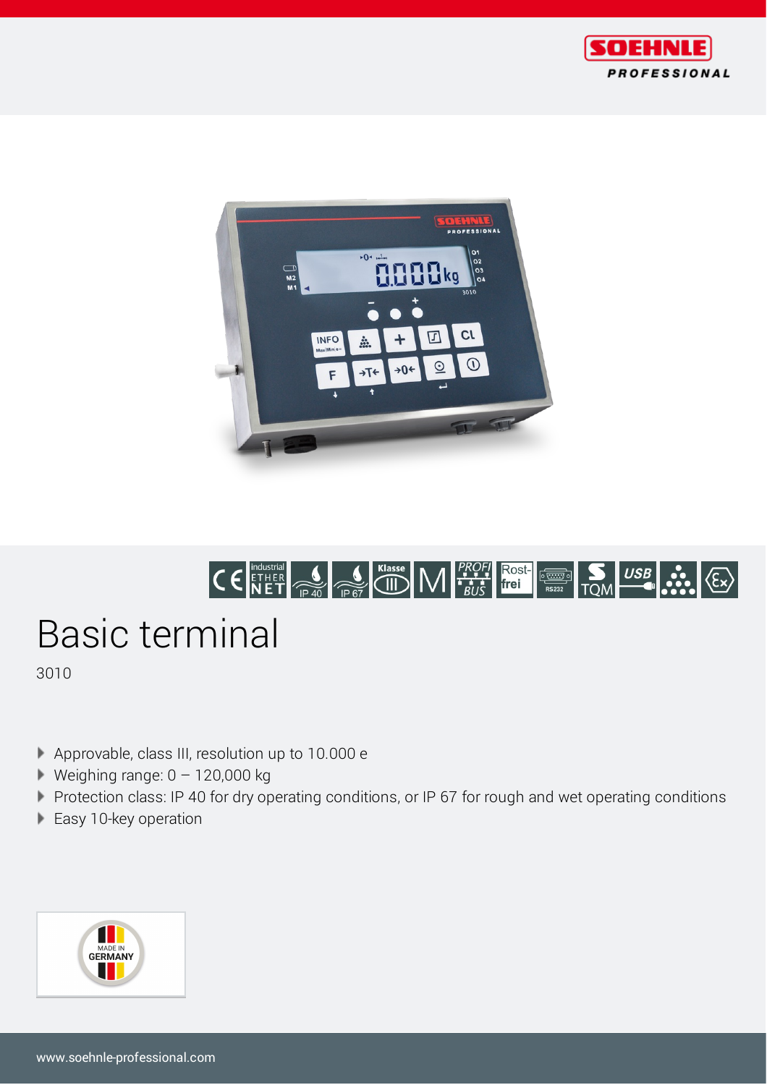





# Basic terminal

3010

- Approvable, class III, resolution up to 10.000 e
- Weighing range: 0 120,000 kg
- Protection class: IP 40 for dry operating conditions, or IP 67 for rough and wet operating conditions
- Easy 10-key operation

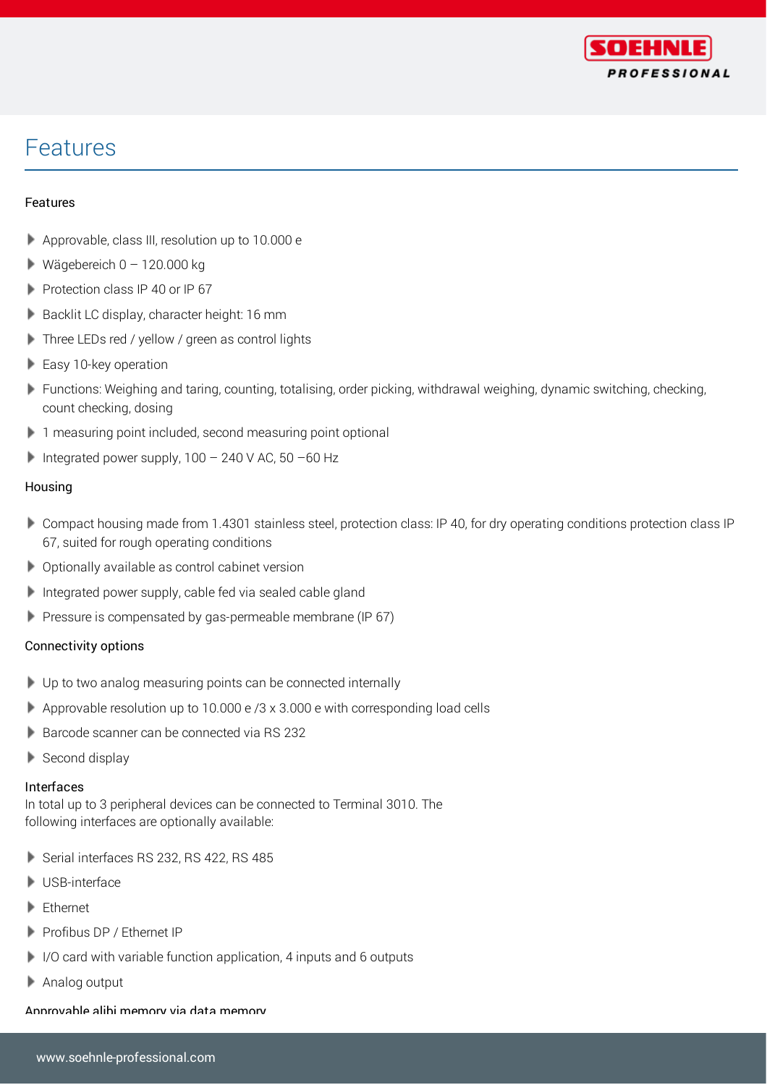

#### Features

#### Features

- Approvable, class III, resolution up to 10.000 e
- Wägebereich  $0 120.000$  kg
- Protection class IP 40 or IP 67 r
- r Backlit LC display, character height: 16 mm
- Three LEDs red / yellow / green as control lights
- Easy 10-key operation
- Functions: Weighing and taring, counting, totalising, order picking, withdrawal weighing, dynamic switching, checking, count checking, dosing
- 1 measuring point included, second measuring point optional
- Integrated power supply,  $100 240$  V AC,  $50 60$  Hz

#### Housing

- Compact housing made from 1.4301 stainless steel, protection class: IP 40, for dry operating conditions protection class IP 67, suited for rough operating conditions
- Optionally available as control cabinet version
- Integrated power supply, cable fed via sealed cable gland
- Pressure is compensated by gas-permeable membrane (IP 67)

#### Connectivity options

- Up to two analog measuring points can be connected internally
- Approvable resolution up to 10.000 e /3 x 3.000 e with corresponding load cells Þ
- Barcode scanner can be connected via RS 232
- Second display

#### Interfaces

In total up to 3 peripheral devices can be connected to Terminal 3010. The following interfaces are optionally available:

- Serial interfaces RS 232, RS 422, RS 485
- USB-interface
- Ethernet
- Profibus DP / Ethernet IP
- I I/O card with variable function application, 4 inputs and 6 outputs
- Analog output

#### Approvable alibi memory via data memory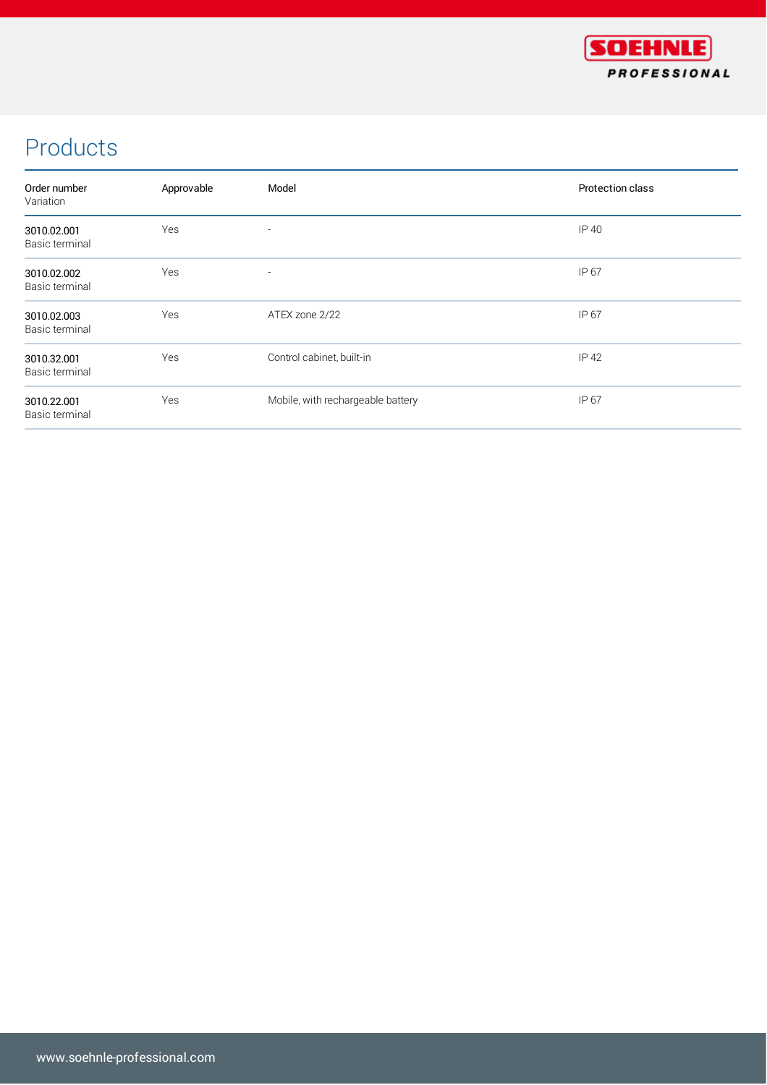

## Products

| Order number<br>Variation     | Approvable | Model                             | Protection class |
|-------------------------------|------------|-----------------------------------|------------------|
| 3010.02.001<br>Basic terminal | Yes        |                                   | IP 40            |
| 3010.02.002<br>Basic terminal | Yes        |                                   | IP 67            |
| 3010.02.003<br>Basic terminal | Yes        | ATEX zone 2/22                    | IP 67            |
| 3010.32.001<br>Basic terminal | Yes        | Control cabinet, built-in         | IP 42            |
| 3010.22.001<br>Basic terminal | Yes        | Mobile, with rechargeable battery | IP 67            |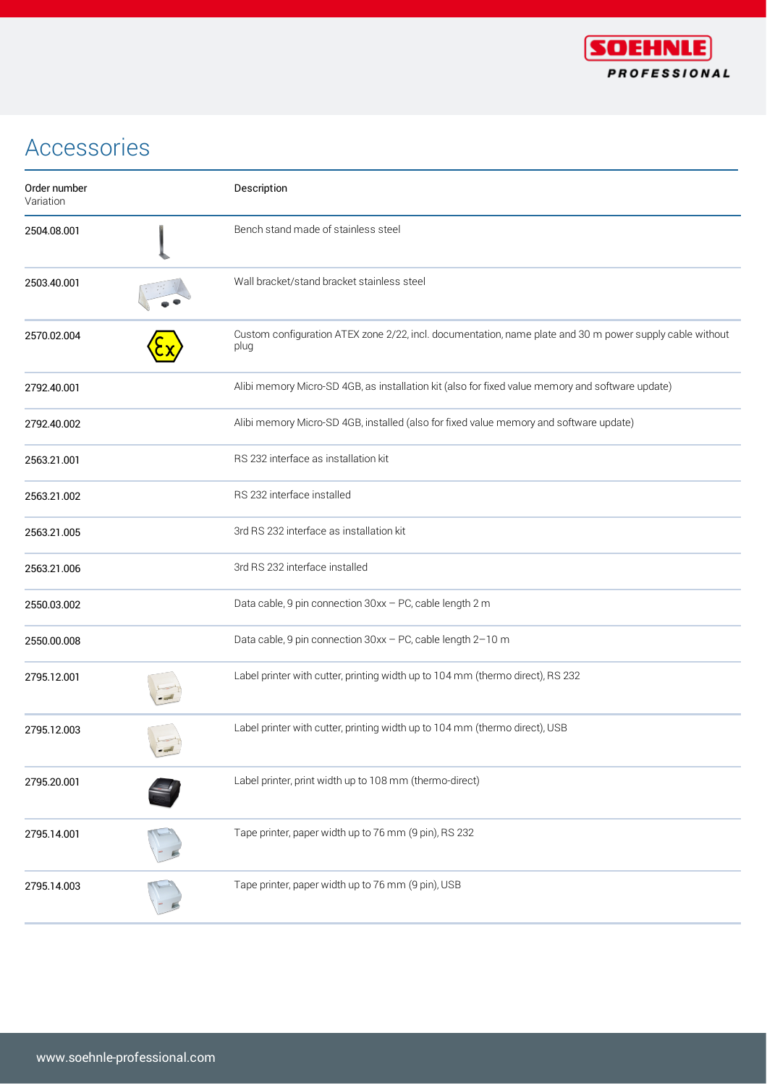

| Order number<br>Variation | Description                                                                                                      |
|---------------------------|------------------------------------------------------------------------------------------------------------------|
| 2504.08.001               | Bench stand made of stainless steel                                                                              |
| 2503.40.001               | Wall bracket/stand bracket stainless steel                                                                       |
| 2570.02.004               | Custom configuration ATEX zone 2/22, incl. documentation, name plate and 30 m power supply cable without<br>plug |
| 2792.40.001               | Alibi memory Micro-SD 4GB, as installation kit (also for fixed value memory and software update)                 |
| 2792.40.002               | Alibi memory Micro-SD 4GB, installed (also for fixed value memory and software update)                           |
| 2563.21.001               | RS 232 interface as installation kit                                                                             |
| 2563.21.002               | RS 232 interface installed                                                                                       |
| 2563.21.005               | 3rd RS 232 interface as installation kit                                                                         |
| 2563.21.006               | 3rd RS 232 interface installed                                                                                   |
| 2550.03.002               | Data cable, 9 pin connection 30xx - PC, cable length 2 m                                                         |
| 2550.00.008               | Data cable, 9 pin connection 30xx - PC, cable length 2-10 m                                                      |
| 2795.12.001               | Label printer with cutter, printing width up to 104 mm (thermo direct), RS 232                                   |
| 2795.12.003               | Label printer with cutter, printing width up to 104 mm (thermo direct), USB                                      |
| 2795.20.001               | Label printer, print width up to 108 mm (thermo-direct)                                                          |
| 2795.14.001               | Tape printer, paper width up to 76 mm (9 pin), RS 232                                                            |
| 2795.14.003               | Tape printer, paper width up to 76 mm (9 pin), USB                                                               |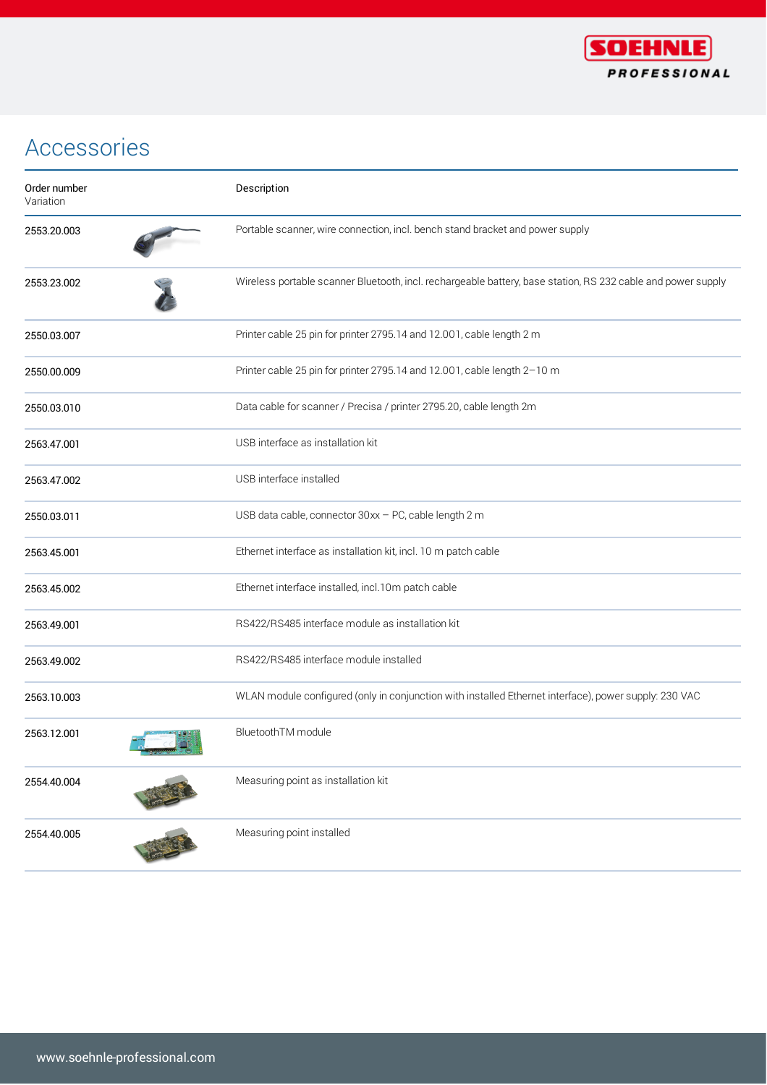

| Order number<br>Variation | Description                                                                                                  |
|---------------------------|--------------------------------------------------------------------------------------------------------------|
| 2553.20.003               | Portable scanner, wire connection, incl. bench stand bracket and power supply                                |
| 2553.23.002               | Wireless portable scanner Bluetooth, incl. rechargeable battery, base station, RS 232 cable and power supply |
| 2550.03.007               | Printer cable 25 pin for printer 2795.14 and 12.001, cable length 2 m                                        |
| 2550.00.009               | Printer cable 25 pin for printer 2795.14 and 12.001, cable length 2-10 m                                     |
| 2550.03.010               | Data cable for scanner / Precisa / printer 2795.20, cable length 2m                                          |
| 2563.47.001               | USB interface as installation kit                                                                            |
| 2563.47.002               | USB interface installed                                                                                      |
| 2550.03.011               | USB data cable, connector 30xx - PC, cable length 2 m                                                        |
| 2563.45.001               | Ethernet interface as installation kit, incl. 10 m patch cable                                               |
| 2563.45.002               | Ethernet interface installed, incl.10m patch cable                                                           |
| 2563.49.001               | RS422/RS485 interface module as installation kit                                                             |
| 2563.49.002               | RS422/RS485 interface module installed                                                                       |
| 2563.10.003               | WLAN module configured (only in conjunction with installed Ethernet interface), power supply: 230 VAC        |
| 2563.12.001               | BluetoothTM module                                                                                           |
| 2554.40.004               | Measuring point as installation kit                                                                          |
| 2554.40.005               | Measuring point installed                                                                                    |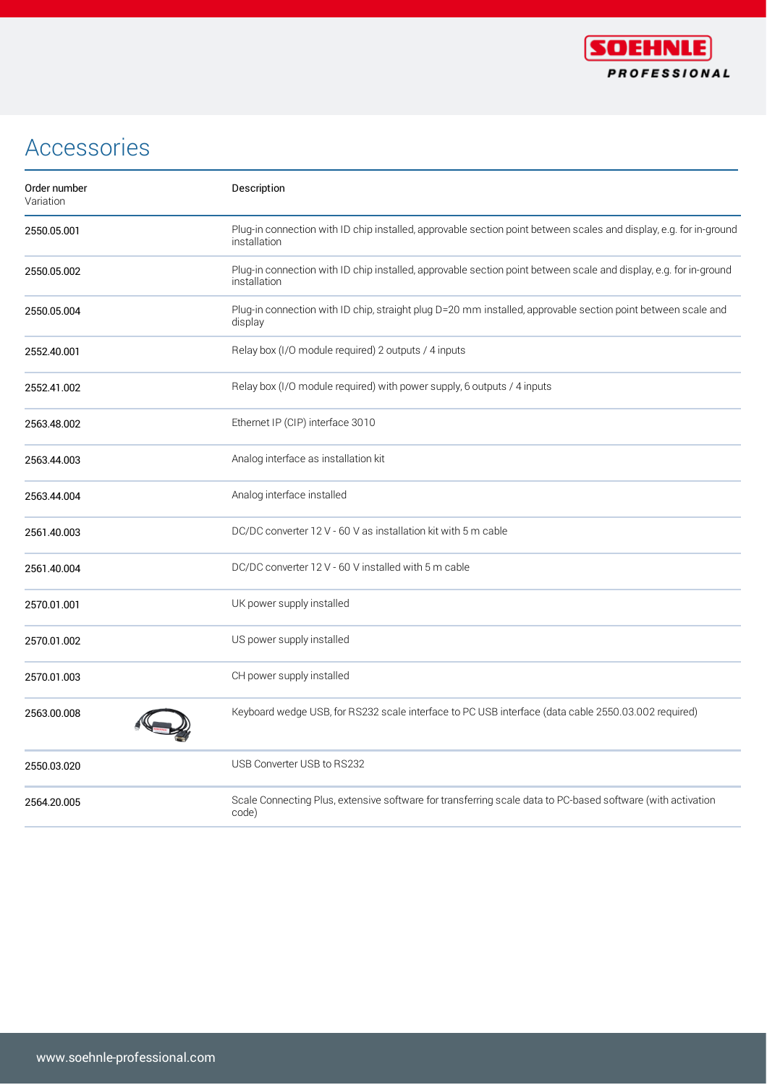

| Order number<br>Variation | Description                                                                                                                        |
|---------------------------|------------------------------------------------------------------------------------------------------------------------------------|
| 2550.05.001               | Plug-in connection with ID chip installed, approvable section point between scales and display, e.g. for in-ground<br>installation |
| 2550.05.002               | Plug-in connection with ID chip installed, approvable section point between scale and display, e.g. for in-ground<br>installation  |
| 2550.05.004               | Plug-in connection with ID chip, straight plug D=20 mm installed, approvable section point between scale and<br>display            |
| 2552.40.001               | Relay box (I/O module required) 2 outputs / 4 inputs                                                                               |
| 2552.41.002               | Relay box (I/O module required) with power supply, 6 outputs / 4 inputs                                                            |
| 2563.48.002               | Ethernet IP (CIP) interface 3010                                                                                                   |
| 2563.44.003               | Analog interface as installation kit                                                                                               |
| 2563.44.004               | Analog interface installed                                                                                                         |
| 2561.40.003               | DC/DC converter 12 V - 60 V as installation kit with 5 m cable                                                                     |
| 2561.40.004               | DC/DC converter 12 V - 60 V installed with 5 m cable                                                                               |
| 2570.01.001               | UK power supply installed                                                                                                          |
| 2570.01.002               | US power supply installed                                                                                                          |
| 2570.01.003               | CH power supply installed                                                                                                          |
| 2563.00.008               | Keyboard wedge USB, for RS232 scale interface to PC USB interface (data cable 2550.03.002 required)                                |
| 2550.03.020               | USB Converter USB to RS232                                                                                                         |
| 2564.20.005               | Scale Connecting Plus, extensive software for transferring scale data to PC-based software (with activation<br>code)               |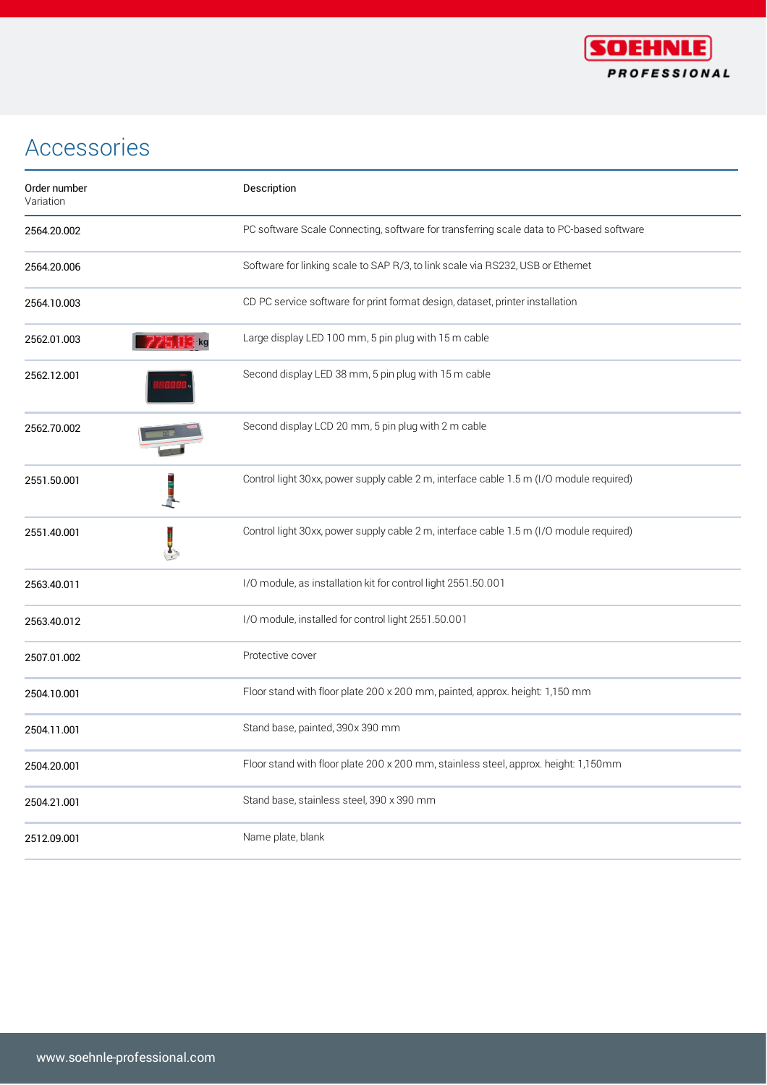

| Order number<br>Variation       | Description                                                                             |
|---------------------------------|-----------------------------------------------------------------------------------------|
| 2564.20.002                     | PC software Scale Connecting, software for transferring scale data to PC-based software |
| 2564.20.006                     | Software for linking scale to SAP R/3, to link scale via RS232, USB or Ethernet         |
| 2564.10.003                     | CD PC service software for print format design, dataset, printer installation           |
| 2562.01.003<br><b>775105 kg</b> | Large display LED 100 mm, 5 pin plug with 15 m cable                                    |
| 2562.12.001                     | Second display LED 38 mm, 5 pin plug with 15 m cable                                    |
| 2562.70.002                     | Second display LCD 20 mm, 5 pin plug with 2 m cable                                     |
| 2551.50.001                     | Control light 30xx, power supply cable 2 m, interface cable 1.5 m (I/O module required) |
| 2551.40.001                     | Control light 30xx, power supply cable 2 m, interface cable 1.5 m (I/O module required) |
| 2563.40.011                     | I/O module, as installation kit for control light 2551.50.001                           |
| 2563.40.012                     | I/O module, installed for control light 2551.50.001                                     |
| 2507.01.002                     | Protective cover                                                                        |
| 2504.10.001                     | Floor stand with floor plate 200 x 200 mm, painted, approx. height: 1,150 mm            |
| 2504.11.001                     | Stand base, painted, 390x 390 mm                                                        |
| 2504.20.001                     | Floor stand with floor plate 200 x 200 mm, stainless steel, approx. height: 1,150mm     |
| 2504.21.001                     | Stand base, stainless steel, 390 x 390 mm                                               |
| 2512.09.001                     | Name plate, blank                                                                       |